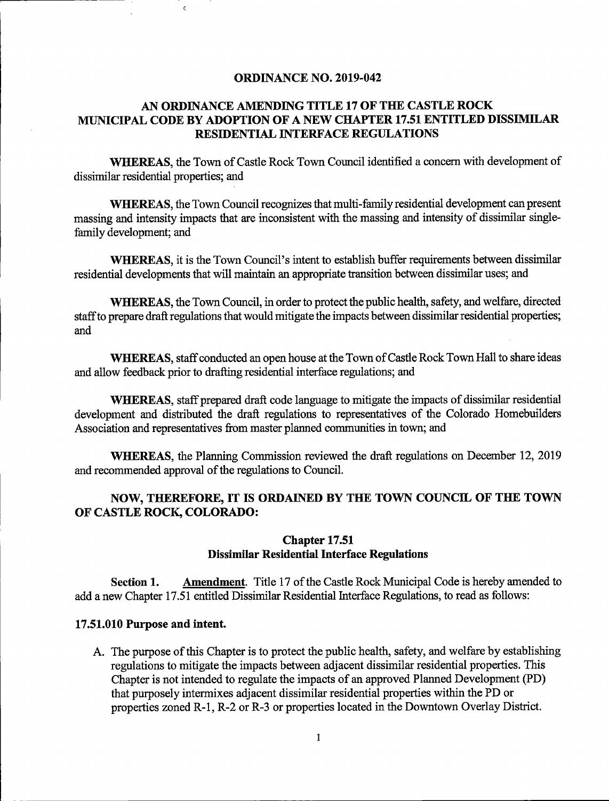#### ORDINANCE NO. 2019-042

### AN ORDINANCE AMENDING TITLE 17 OF THE CASTLE ROCK MUNICIPAL CODE BY ADOPTION OF A NEW CHAPTER 17.51 ENTITLED DISSIMILAR RESIDENTIAL INTERFACE REGULATIONS

WHEREAS, the Town of Castle Rock Town Council identified a concern with development of dissimilar residential properties; and

WHEREAS, the Town Council recognizes that multi-family residential development can present massing and intensity impacts that are inconsistent with the massing and intensity of dissimilar singlefamily development; and

WHEREAS, it is the Town Council's intent to establish buffer requirements between dissimilar residential developments that will maintain an appropriate transition between dissimilar uses; and

WHEREAS, the Town Council, in order to protect the public health, safety, and welfare, directed staff to prepare draft regulations that would mitigate the impacts between dissimilar residential properties; and

WHEREAS, staff conducted an open house at the Town of Castle Rock Town Hall to share ideas and allow feedback prior to drafting residential interface regulations; and

WHEREAS, staff prepared draft code language to mitigate the impacts of dissimilar residential development and distributed the draft regulations to representatives of the Colorado Homebuilders Association and representatives from master planned communities in town; and

WHEREAS, the Planning Commission reviewed the draft regulations on December 12, 2019 and recommended approval of the regulations to Council.

#### NOW, THEREFORE, IT IS ORDAINED BY THE TOWN COUNCIL OF THE TOWN OF CASTLE ROCK, COLORADO:

#### Chapter 17.51 Dissimilar Residential Interface Regulations

Section 1. Amendment. Title 17 of the Castle Rock Municipal Code is hereby amended to add a new Chapter 17.51 entitled Dissimilar Residential Interface Regulations, to read as follows:

#### 17.51.010 Purpose and intent.

A. The purpose of this Chapter is to protect the public health, safety, and welfare by establishing regulations to mitigate the impacts between adjacent dissimilar residential properties. This Chapter is not intended to regulate the impacts of an approved Planned Development (PD) that purposely intermixes adjacent dissimilar residential properties within the PD or properties zoned R-1, R-2 or R-3 or properties located in the Downtown Overlay District.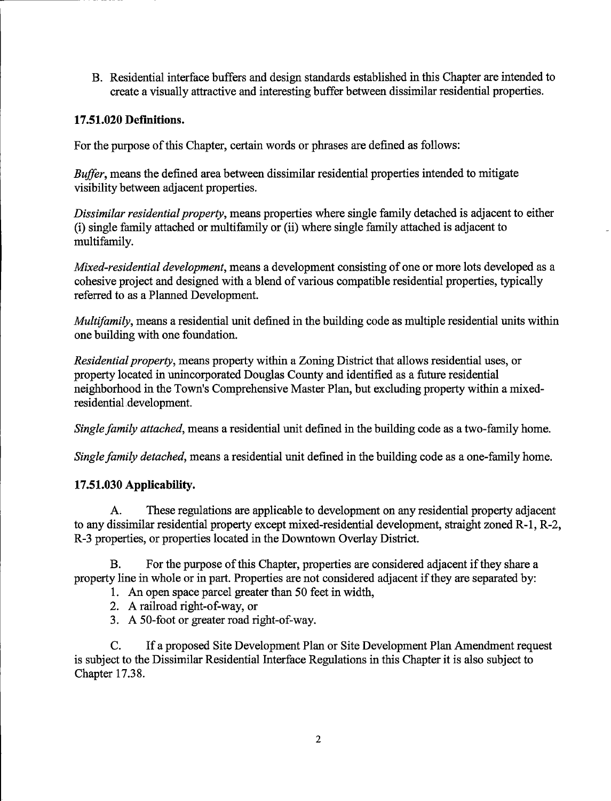B. Residential interfaee buffers and design standards established in this Chapter are intended to ereate a visually attraetive and interesting buffer between dissimilar residential properties.

### 17.51.020 Definitions.

For the purpose of this Chapter, certain words or phrases are defined as follows:

Buffer, means the defined area between dissimilar residential properties intended to mitigate visibility between adjaeent properties.

Dissimilar residential property, means properties where single family detached is adjacent to either (i) single family attaehed or multifamily or (ii) where single family attaehed is adjacent to multifamily.

Mixed-residential development, means a development consisting of one or more lots developed as a cohesive project and designed with a blend of various compatible residential properties, typically referred to as a Planned Development.

Multifamily, means a residential unit defined in the building code as multiple residential units within one building with one foundation.

Residential property, means property within a Zoning District that allows residential uses, or property located in unincorporated Douglas County and identified as a future residential neighborhood in the Town's Comprehensive Master Plan, but excluding property within a mixedresidential development.

Single family attached, means a residential unit defined in the building code as a two-family home.

Single family detached, means a residential unit defined in the building code as a one-family home.

## 17.51.030 Applicability.

A. These regulations are applicable to development on any residential property adjaeent to any dissimilar residential property except mixed-residential development, straight zoned R-1, R-2, R-3 properties, or properties located in the Downtown Overlay District.

B. For the purpose of this Chapter, properties are considered adjacent if they share a property line in whole or in part. Properties are not considered adjacent if they are separated by:

- 1. An open space parcel greater than 50 feet in width,
- 2. A railroad right-of-way, or
- 3. A 50-foot or greater road right-of-way.

C. If a proposed Site Development Plan or Site Development Plan Amendment request is subject to the Dissimilar Residential Interface Regulations in this Chapter it is also subject to Chapter 17.38.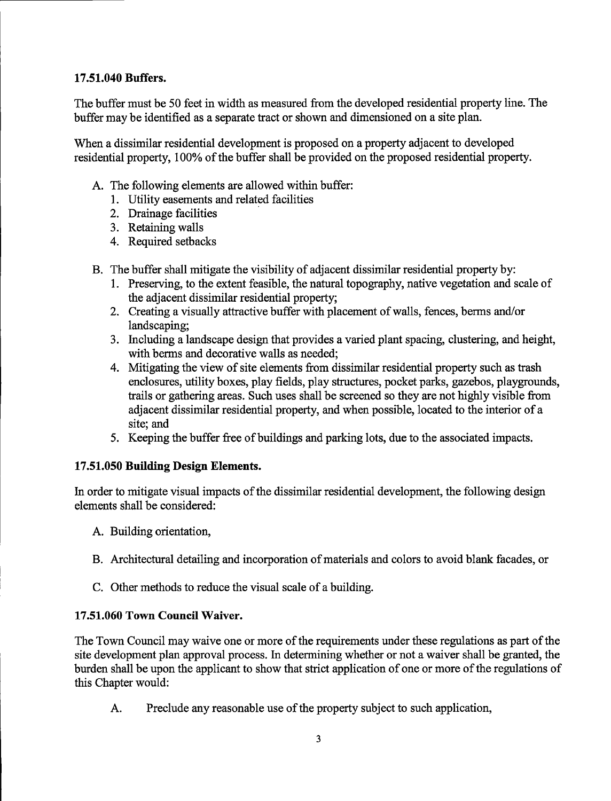## 17.51.040 Buffers.

The buffer must be 50 feet in width as measured from the developed residential property line. The buffer may be identified as a separate tract or shown and dimensioned on a site plan.

When a dissimilar residential development is proposed on a property adjacent to developed residential property, 100% of the buffer shall be provided on the proposed residential property.

- A. The following elements are allowed within buffer:
	- 1. Utility easements and related facilities
	- 2. Drainage facilities
	- 3. Retaining walls
	- 4. Required setbacks
- B. The buffer shall mitigate the visibility of adjacent dissimilar residential property by:
	- 1. Preserving, to the extent feasible, the natural topography, native vegetation and scale of the adjacent dissimilar residential property;
	- 2. Creating a visually attractive buffer with placement of walls, fences, berms and/or landscaping;
	- 3. Including a landscape design that provides a varied plant spacing, clustering, and height, with berms and decorative walls as needed;
	- 4. Mitigating the view of site elements from dissimilar residential property such as trash enclosures, utility boxes, play fields, play structures, pocket parks, gazebos, playgrounds, trails or gathering areas. Such uses shall be screened so they are not highly visible from adjacent dissimilar residential property, and when possible, located to the interior of a site; and
	- 5. Keeping the buffer free of buildings and parking lots, due to the associated impacts.

# 17.51.050 Building Design Elements.

In order to mitigate visual impacts of the dissimilar residential development, the following design elements shall be considered:

- A. Building orientation,
- B. Architectural detailing and incorporation of materials and colors to avoid blank facades, or
- C. Other methods to reduce the visual scale of a building.

## 17.51.060 Town Council Waiver.

The Town Council may waive one or more of the requirements under these regulations as part of the site development plan approval process. In determining whether or not a waiver shall be granted, the burden shall be upon the applicant to show that strict application of one or more of the regulations of this Chapter would:

A. Preclude any reasonable use of the property subject to such application,